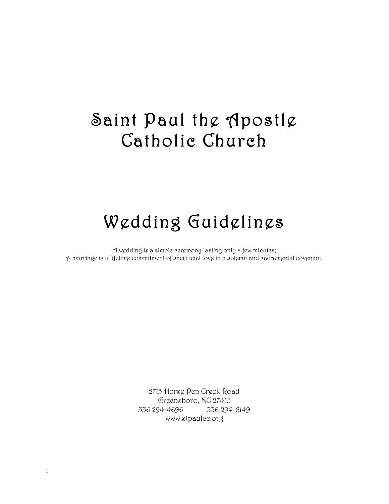# Saint Paul the Apostle Catholic Church

# Wedding Guidelines

A wedding is a simple ceremony lasting only a few minutes; A marriage is a lifetime commitment of sacrificial love in a solemn and sacramental covenant.

> 2715 Horse Pen Creek Road Greensboro, NC 27410 336 294-4696 336 294-6149 www.stpaulcc.org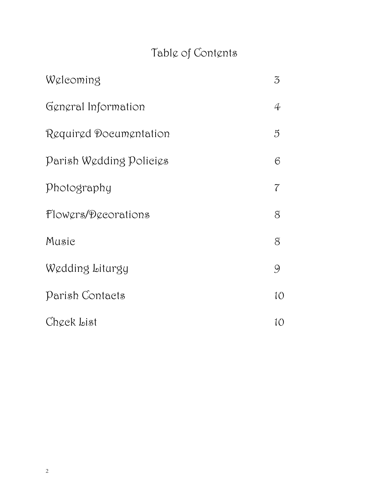# Table of Contents

| Weleoming               | $\mathfrak{Z}$ |
|-------------------------|----------------|
| General Information     | $\oint$        |
| Required Documentation  | 5              |
| Parish Wedding Policies | 6              |
| Photography             | 7              |
| Flowers/Decorations     | 8              |
| Music                   | $\delta$       |
| Wedding Liturgy         | 9              |
| Parish Contacts         | 10             |
| Check List              | 10             |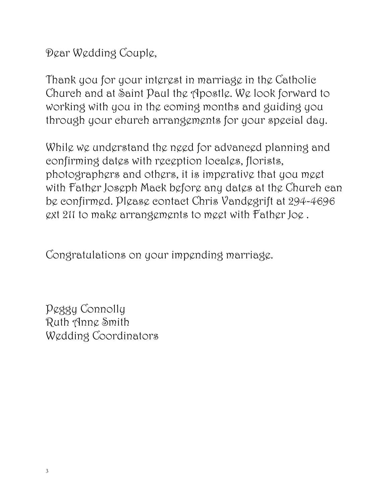Dear Wedding Couple,

Thank you for your interest in marriage in the Catholic Church and at Saint Paul the Apostle. We look forward to working with you in the coming months and guiding you through your church arrangements for your special day.

While we understand the need for advanced planning and confirming dates with reception locales, florists, photographers and others, it is imperative that you meet with Father Joseph Mack before any dates at the Church can be confirmed. Please contact Chris Vandegrift at 294-4696 ext 211 to make arrangements to meet with Father Joe .

Congratulations on your impending marriage.

Peggy Connolly Ruth Anne Smith Wedding Coordinators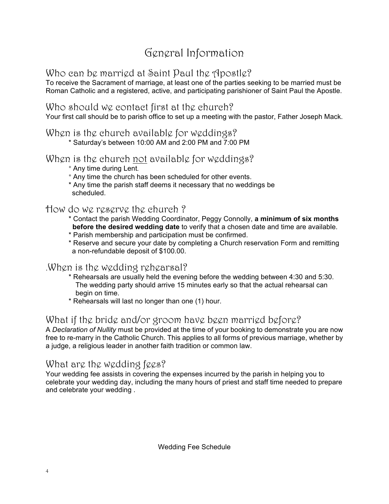## General Information

### Who can be married at Saint Paul the Apostle?

To receive the Sacrament of marriage, at least one of the parties seeking to be married must be Roman Catholic and a registered, active, and participating parishioner of Saint Paul the Apostle.

#### Who should we contact first at the church?

Your first call should be to parish office to set up a meeting with the pastor, Father Joseph Mack.

#### When is the church available for weddings?

\* Saturday's between 10:00 AM and 2:00 PM and 7:00 PM

#### When is the church not available for weddings?

- \* Any time during Lent.
- \* Any time the church has been scheduled for other events.
- \* Any time the parish staff deems it necessary that no weddings be scheduled.

#### How do we reserve the church ?

- \* Contact the parish Wedding Coordinator, Peggy Connolly, **a minimum of six months before the desired wedding date** to verify that a chosen date and time are available.
- \* Parish membership and participation must be confirmed.
- \* Reserve and secure your date by completing a Church reservation Form and remitting a non-refundable deposit of \$100.00.

### .When is the wedding rehearsal?

- \* Rehearsals are usually held the evening before the wedding between 4:30 and 5:30. The wedding party should arrive 15 minutes early so that the actual rehearsal can begin on time.
- \* Rehearsals will last no longer than one (1) hour.

### What if the bride and/or groom have been married before?

A *Declaration of Nullity* must be provided at the time of your booking to demonstrate you are now free to re-marry in the Catholic Church. This applies to all forms of previous marriage, whether by a judge, a religious leader in another faith tradition or common law.

### What are the wedding fees?

Your wedding fee assists in covering the expenses incurred by the parish in helping you to celebrate your wedding day, including the many hours of priest and staff time needed to prepare and celebrate your wedding .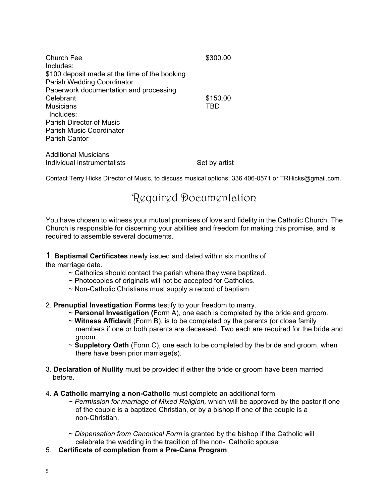| Church Fee<br>Includes:                                                            | \$300.00      |
|------------------------------------------------------------------------------------|---------------|
| \$100 deposit made at the time of the booking<br><b>Parish Wedding Coordinator</b> |               |
| Paperwork documentation and processing                                             |               |
| Celebrant                                                                          | \$150.00      |
| Musicians                                                                          | TBD           |
| Includes:                                                                          |               |
| Parish Director of Music                                                           |               |
| <b>Parish Music Coordinator</b>                                                    |               |
| Parish Cantor                                                                      |               |
| Additional Musicians                                                               |               |
| Individual instrumentalists                                                        | Set by artist |

Contact Terry Hicks Director of Music, to discuss musical options; 336 406-0571 or TRHicks@gmail.com.

### Required Documentation

You have chosen to witness your mutual promises of love and fidelity in the Catholic Church. The Church is responsible for discerning your abilities and freedom for making this promise, and is required to assemble several documents.

1. **Baptismal Certificates** newly issued and dated within six months of

the marriage date.

- $\sim$  Catholics should contact the parish where they were baptized.
- ~ Photocopies of originals will not be accepted for Catholics.
- ~ Non-Catholic Christians must supply a record of baptism.

2. **Prenuptial Investigation Forms** testify to your freedom to marry.

- ~ **Personal Investigation (**Form A), one each is completed by the bride and groom.
- ~ **Witness Affidavit** (Form B), is to be completed by the parents (or close family members if one or both parents are deceased. Two each are required for the bride and groom.
- ~ **Suppletory Oath** (Form C), one each to be completed by the bride and groom, when there have been prior marriage(s).
- 3. **Declaration of Nullity** must be provided if either the bride or groom have been married before.
- 4. **A Catholic marrying a non-Catholic** must complete an additional form
	- ~ *Permission for marriage of Mixed Religion,* which will be approved by the pastor if one of the couple is a baptized Christian, or by a bishop if one of the couple is a non-Christian.
	- ~ *Dispensation from Canonical Form* is granted by the bishop if the Catholic will celebrate the wedding in the tradition of the non- Catholic spouse
- 5. **Certificate of completion from a Pre-Cana Program**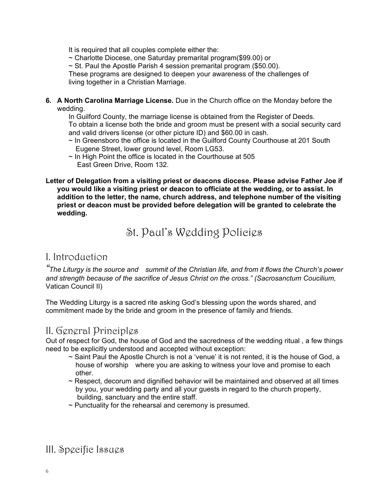It is required that all couples complete either the:

~ Charlotte Diocese, one Saturday premarital program(\$99.00) or

 $\sim$  St. Paul the Apostle Parish 4 session premarital program (\$50.00).

These programs are designed to deepen your awareness of the challenges of living together in a Christian Marriage.

**6. A North Carolina Marriage License.** Due in the Church office on the Monday before the wedding.

In Guilford County, the marriage license is obtained from the Register of Deeds. To obtain a license both the bride and groom must be present with a social security card and valid drivers license (or other picture ID) and \$60.00 in cash.

- $\sim$  In Greensboro the office is located in the Guilford County Courthouse at 201 South Eugene Street, lower ground level, Room LG53.
- $\sim$  In High Point the office is located in the Courthouse at 505 East Green Drive, Room 132.

**Letter of Delegation from a visiting priest or deacons diocese. Please advise Father Joe if you would like a visiting priest or deacon to officiate at the wedding, or to assist. In addition to the letter, the name, church address, and telephone number of the visiting priest or deacon must be provided before delegation will be granted to celebrate the wedding.** 

St. Paul's Wedding Policies

#### I. Introduction

*"The Liturgy is the source and summit of the Christian life, and from it flows the Church's power and strength because of the sacrifice of Jesus Christ on the cross." (Sacrosanctum Coucilium,*  Vatican Council II)

The Wedding Liturgy is a sacred rite asking God's blessing upon the words shared, and commitment made by the bride and groom in the presence of family and friends.

#### II. General Principles

Out of respect for God, the house of God and the sacredness of the wedding ritual , a few things need to be explicitly understood and accepted without exception:

- ~ Saint Paul the Apostle Church is not a 'venue' it is not rented, it is the house of God, a house of worship where you are asking to witness your love and promise to each other.
- $\sim$  Respect, decorum and dignified behavior will be maintained and observed at all times by you, your wedding party and all your guests in regard to the church property, building, sanctuary and the entire staff.
- $\sim$  Punctuality for the rehearsal and ceremony is presumed.

### III. Specific Issues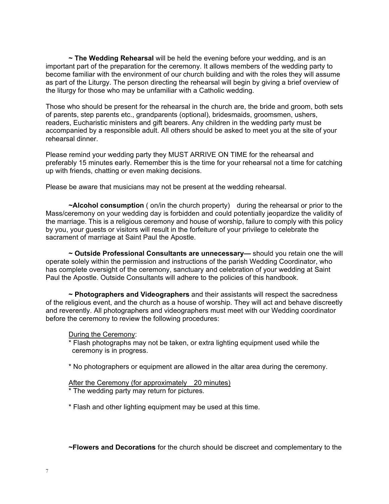**~ The Wedding Rehearsal** will be held the evening before your wedding, and is an important part of the preparation for the ceremony. It allows members of the wedding party to become familiar with the environment of our church building and with the roles they will assume as part of the Liturgy. The person directing the rehearsal will begin by giving a brief overview of the liturgy for those who may be unfamiliar with a Catholic wedding.

Those who should be present for the rehearsal in the church are, the bride and groom, both sets of parents, step parents etc., grandparents (optional), bridesmaids, groomsmen, ushers, readers, Eucharistic ministers and gift bearers. Any children in the wedding party must be accompanied by a responsible adult. All others should be asked to meet you at the site of your rehearsal dinner.

Please remind your wedding party they MUST ARRIVE ON TIME for the rehearsal and preferably 15 minutes early. Remember this is the time for your rehearsal not a time for catching up with friends, chatting or even making decisions.

Please be aware that musicians may not be present at the wedding rehearsal.

**~Alcohol consumption** ( on/in the church property) during the rehearsal or prior to the Mass/ceremony on your wedding day is forbidden and could potentially jeopardize the validity of the marriage. This is a religious ceremony and house of worship, failure to comply with this policy by you, your guests or visitors will result in the forfeiture of your privilege to celebrate the sacrament of marriage at Saint Paul the Apostle.

**~ Outside Professional Consultants are unnecessary—** should you retain one the will operate solely within the permission and instructions of the parish Wedding Coordinator, who has complete oversight of the ceremony, sanctuary and celebration of your wedding at Saint Paul the Apostle. Outside Consultants will adhere to the policies of this handbook.

**~ Photographers and Videographers** and their assistants will respect the sacredness of the religious event, and the church as a house of worship. They will act and behave discreetly and reverently. All photographers and videographers must meet with our Wedding coordinator before the ceremony to review the following procedures:

#### During the Ceremony:

\* Flash photographs may not be taken, or extra lighting equipment used while the ceremony is in progress.

\* No photographers or equipment are allowed in the altar area during the ceremony.

#### After the Ceremony (for approximately 20 minutes)

\* The wedding party may return for pictures.

\* Flash and other lighting equipment may be used at this time.

**~Flowers and Decorations** for the church should be discreet and complementary to the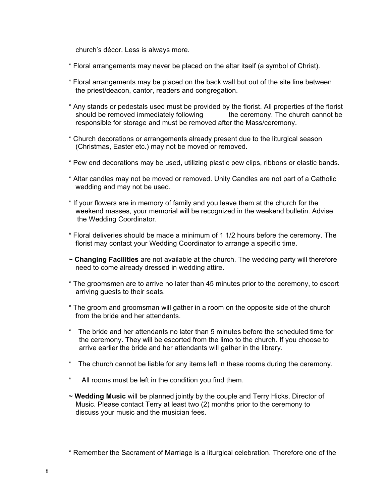church's décor. Less is always more.

- \* Floral arrangements may never be placed on the altar itself (a symbol of Christ).
- \* Floral arrangements may be placed on the back wall but out of the site line between the priest/deacon, cantor, readers and congregation.
- \* Any stands or pedestals used must be provided by the florist. All properties of the florist should be removed immediately following the ceremony. The church cannot be responsible for storage and must be removed after the Mass/ceremony.
- \* Church decorations or arrangements already present due to the liturgical season (Christmas, Easter etc.) may not be moved or removed.
- \* Pew end decorations may be used, utilizing plastic pew clips, ribbons or elastic bands.
- \* Altar candles may not be moved or removed. Unity Candles are not part of a Catholic wedding and may not be used.
- \* If your flowers are in memory of family and you leave them at the church for the weekend masses, your memorial will be recognized in the weekend bulletin. Advise the Wedding Coordinator.
- \* Floral deliveries should be made a minimum of 1 1/2 hours before the ceremony. The florist may contact your Wedding Coordinator to arrange a specific time.
- **~ Changing Facilities** are not available at the church. The wedding party will therefore need to come already dressed in wedding attire.
- \* The groomsmen are to arrive no later than 45 minutes prior to the ceremony, to escort arriving guests to their seats.
- \* The groom and groomsman will gather in a room on the opposite side of the church from the bride and her attendants.
- \* The bride and her attendants no later than 5 minutes before the scheduled time for the ceremony. They will be escorted from the limo to the church. If you choose to arrive earlier the bride and her attendants will gather in the library.
- \* The church cannot be liable for any items left in these rooms during the ceremony.
- \* All rooms must be left in the condition you find them.
- **~ Wedding Music** will be planned jointly by the couple and Terry Hicks, Director of Music. Please contact Terry at least two (2) months prior to the ceremony to discuss your music and the musician fees.

<sup>\*</sup> Remember the Sacrament of Marriage is a liturgical celebration. Therefore one of the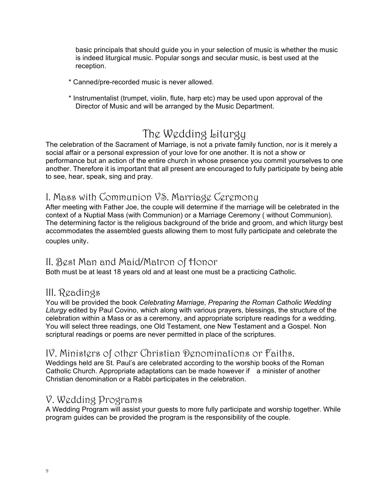basic principals that should guide you in your selection of music is whether the music is indeed liturgical music. Popular songs and secular music, is best used at the reception.

- \* Canned/pre-recorded music is never allowed.
- \* Instrumentalist (trumpet, violin, flute, harp etc) may be used upon approval of the Director of Music and will be arranged by the Music Department.

## The Wedding Liturgy

The celebration of the Sacrament of Marriage, is not a private family function, nor is it merely a social affair or a personal expression of your love for one another. It is not a show or performance but an action of the entire church in whose presence you commit yourselves to one another. Therefore it is important that all present are encouraged to fully participate by being able to see, hear, speak, sing and pray.

#### I. Mass with Communion VS. Marriage Ceremony

After meeting with Father Joe, the couple will determine if the marriage will be celebrated in the context of a Nuptial Mass (with Communion) or a Marriage Ceremony ( without Communion). The determining factor is the religious background of the bride and groom, and which liturgy best accommodates the assembled guests allowing them to most fully participate and celebrate the couples unity.

#### II. Best Man and Maid/Matron of Honor

Both must be at least 18 years old and at least one must be a practicing Catholic.

#### III. Readings

You will be provided the book *Celebrating Marriage*, *Preparing the Roman Catholic Wedding Liturgy* edited by Paul Covino, which along with various prayers, blessings, the structure of the celebration within a Mass or as a ceremony, and appropriate scripture readings for a wedding. You will select three readings, one Old Testament, one New Testament and a Gospel. Non scriptural readings or poems are never permitted in place of the scriptures.

#### IV. Ministers of other Christian Denominations or Faiths.

Weddings held are St. Paul's are celebrated according to the worship books of the Roman Catholic Church. Appropriate adaptations can be made however if a minister of another Christian denomination or a Rabbi participates in the celebration.

#### V. Wedding Programs

A Wedding Program will assist your guests to more fully participate and worship together. While program guides can be provided the program is the responsibility of the couple.